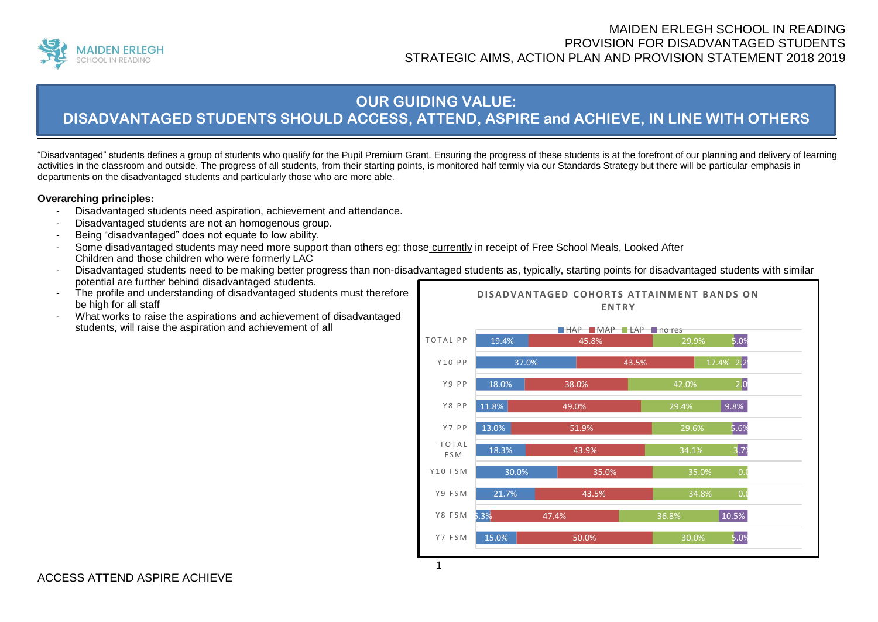

# **OUR GUIDING VALUE:**

# **DISADVANTAGED STUDENTS SHOULD ACCESS, ATTEND, ASPIRE and ACHIEVE, IN LINE WITH OTHERS**

"Disadvantaged" students defines a group of students who qualify for the Pupil Premium Grant. Ensuring the progress of these students is at the forefront of our planning and delivery of learning activities in the classroom and outside. The progress of all students, from their starting points, is monitored half termly via our Standards Strategy but there will be particular emphasis in departments on the disadvantaged students and particularly those who are more able.

#### **Overarching principles:**

- Disadvantaged students need aspiration, achievement and attendance.
- Disadvantaged students are not an homogenous group.
- Being "disadvantaged" does not equate to low ability.
- Some disadvantaged students may need more support than others eg: those currently in receipt of Free School Meals, Looked After Children and those children who were formerly LAC
- Disadvantaged students need to be making better progress than non-disadvantaged students as, typically, starting points for disadvantaged students with similar potential are further behind disadvantaged students.
- The profile and understanding of disadvantaged students must therefore be high for all staff
- What works to raise the aspirations and achievement of disadvantaged students, will raise the aspiration and achievement of all

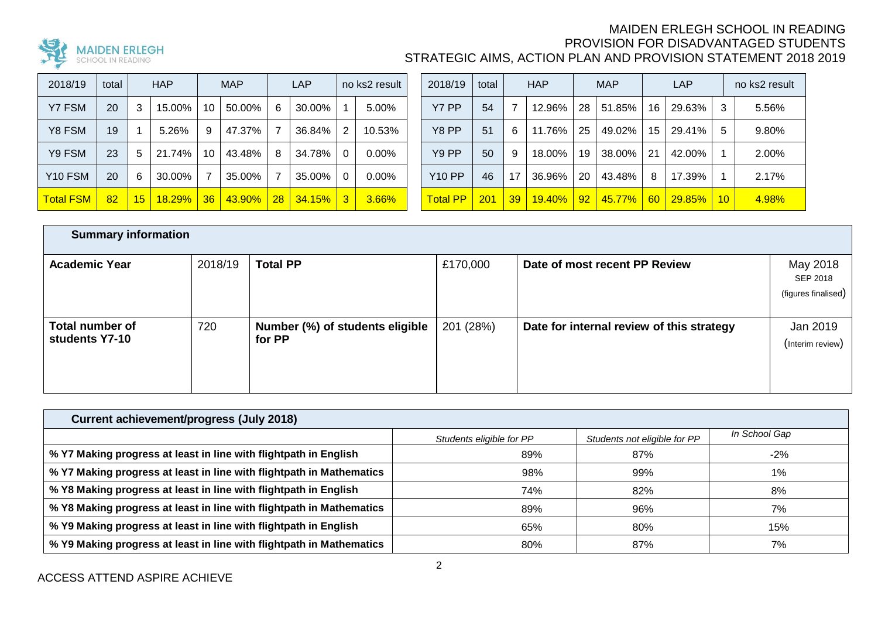

| 2018/19             | total |    | <b>HAP</b>    |                 | <b>MAP</b> |    | <b>LAP</b>    |              | no ks2 result | 2018/19         | total |                 | <b>HAP</b>      |                 | <b>MAP</b> |           | <b>LAP</b>    |                 | no ks2 result |
|---------------------|-------|----|---------------|-----------------|------------|----|---------------|--------------|---------------|-----------------|-------|-----------------|-----------------|-----------------|------------|-----------|---------------|-----------------|---------------|
| Y7 FSM              | 20    | 3  | 15.00%        | 10              | 50.00%     | 6  | 30.00%        |              | 5.00%         | Y7 PP           | 54    |                 | 12.96%          | -28             | 51.85%     | 16        | 29.63%        | 3               | 5.56%         |
| Y8 FSM              | 19    |    | 5.26%         |                 | 47.37%     |    | 36.84%        | 2            | 10.53%        | Y8 PP           | 51    | 6               | 11.76%          | -25             | 49.02%     | 15        | 29.41% l      | 5               | 9.80%         |
| Y9 FSM              | 23    | 5. | 21.74%        | 10              | 43.48%     | 8  | 34.78%        | 0            | 0.00%         | Y9 PP           | 50    | 9               | 18.00%          | 19              | 38.00%     | 21        | 42.00%        |                 | 2.00%         |
| Y <sub>10</sub> FSM | 20    | 6  | 30.00%        |                 | 35.00%     |    | 35.00%        | $\Omega$     | 0.00%         | <b>Y10 PP</b>   | 46    | 17              | 36.96%          | 20              | 43.48%     | 8         | 17.39%        |                 | 2.17%         |
| Total FSM           | 82    | 15 | <b>18.29%</b> | 36 <sup>1</sup> | 43.90%     | 28 | <b>34.15%</b> | $\mathbf{3}$ | 3.66%         | <b>Total PP</b> | 201   | 39 <sup>1</sup> | <u> 19.40% </u> | 92 <sub>o</sub> | 45.77% l   | <b>60</b> | <b>29.85%</b> | 10 <sup>1</sup> | <u>4.98%</u>  |

| 2018/19           | total |    | <b>HAP</b> |    | <b>MAP</b> | <b>LAP</b>          |        |    | no ks2 result |  |  |
|-------------------|-------|----|------------|----|------------|---------------------|--------|----|---------------|--|--|
| Y7 PP             | 54    |    | 12.96%     | 28 | 51.85%     | 16                  | 29.63% | 3  | 5.56%         |  |  |
| Y8 PP             | 51    | 6  | 11.76%     | 25 | 49.02%     | 15                  | 29.41% | 5  | 9.80%         |  |  |
| Y <sub>9</sub> PP | 50    | 9  | 18.00%     | 19 | 38.00%     | 21                  | 42.00% | 1  | 2.00%         |  |  |
| <b>Y10 PP</b>     | 46    | 17 | 36.96%     | 20 | 43.48%     | 8                   | 17.39% |    | 2.17%         |  |  |
| <b>Total PP</b>   | 201   | 39 | 19.40%     | 92 | 45.77%     | <b>29.85%</b><br>60 |        | 10 | 4.98%         |  |  |

| <b>Summary information</b>               |         |                                           |           |                                           |                                             |  |  |  |  |
|------------------------------------------|---------|-------------------------------------------|-----------|-------------------------------------------|---------------------------------------------|--|--|--|--|
| <b>Academic Year</b>                     | 2018/19 | <b>Total PP</b>                           | £170,000  | Date of most recent PP Review             | May 2018<br>SEP 2018<br>(figures finalised) |  |  |  |  |
| <b>Total number of</b><br>students Y7-10 | 720     | Number (%) of students eligible<br>for PP | 201 (28%) | Date for internal review of this strategy | Jan 2019<br>(Interim review)                |  |  |  |  |

| Current achievement/progress (July 2018)                             |                          |                              |               |  |  |  |  |  |
|----------------------------------------------------------------------|--------------------------|------------------------------|---------------|--|--|--|--|--|
|                                                                      | Students eligible for PP | Students not eligible for PP | In School Gap |  |  |  |  |  |
| % Y7 Making progress at least in line with flightpath in English     | 89%                      | 87%                          | $-2\%$        |  |  |  |  |  |
| % Y7 Making progress at least in line with flightpath in Mathematics | 98%                      | 99%                          | 1%            |  |  |  |  |  |
| % Y8 Making progress at least in line with flightpath in English     | 74%                      | 82%                          | 8%            |  |  |  |  |  |
| % Y8 Making progress at least in line with flightpath in Mathematics | 89%                      | 96%                          | 7%            |  |  |  |  |  |
| % Y9 Making progress at least in line with flightpath in English     | 65%                      | 80%                          | 15%           |  |  |  |  |  |
| % Y9 Making progress at least in line with flightpath in Mathematics | 80%                      | 87%                          | 7%            |  |  |  |  |  |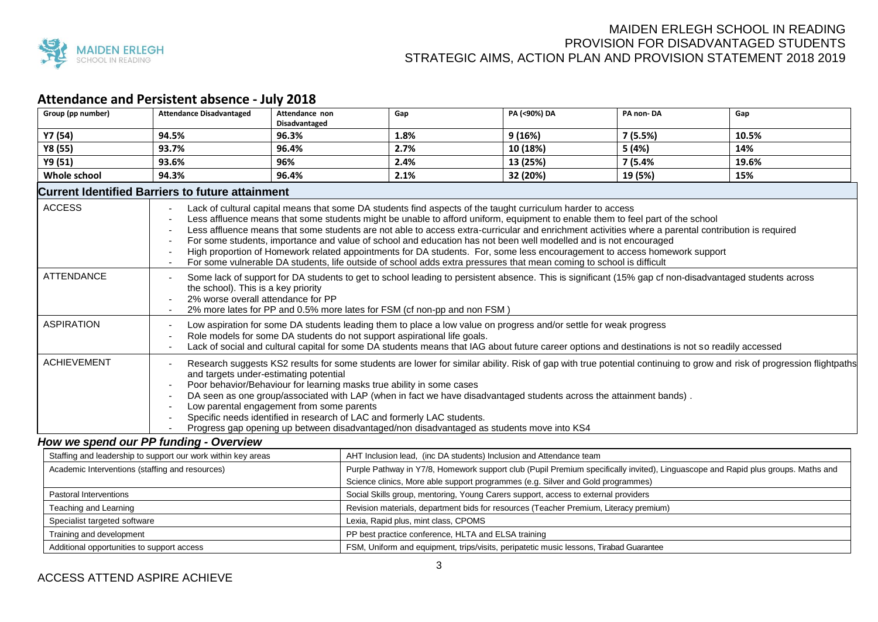

## **Attendance and Persistent absence - July 2018**

| Group (pp number)                               | <b>Attendance Disadvantaged</b>                                                                                                                                                                                                                                                                                           | Attendance non<br>Disadvantaged                                                                                                                                                                                                         | Gap                                                                                                                              | PA (<90%) DA                                                                                                                                                                                                                                                                                                                                                                                                                                                                                                                                                                                                                                                                                                                                                                  | PA non-DA | Gap                                                                                                                                                                   |  |  |  |  |
|-------------------------------------------------|---------------------------------------------------------------------------------------------------------------------------------------------------------------------------------------------------------------------------------------------------------------------------------------------------------------------------|-----------------------------------------------------------------------------------------------------------------------------------------------------------------------------------------------------------------------------------------|----------------------------------------------------------------------------------------------------------------------------------|-------------------------------------------------------------------------------------------------------------------------------------------------------------------------------------------------------------------------------------------------------------------------------------------------------------------------------------------------------------------------------------------------------------------------------------------------------------------------------------------------------------------------------------------------------------------------------------------------------------------------------------------------------------------------------------------------------------------------------------------------------------------------------|-----------|-----------------------------------------------------------------------------------------------------------------------------------------------------------------------|--|--|--|--|
| Y7 (54)                                         | 94.5%                                                                                                                                                                                                                                                                                                                     | 96.3%                                                                                                                                                                                                                                   | 1.8%                                                                                                                             | 9(16%)                                                                                                                                                                                                                                                                                                                                                                                                                                                                                                                                                                                                                                                                                                                                                                        | 7(5.5%)   | 10.5%                                                                                                                                                                 |  |  |  |  |
| Y8 (55)                                         | 93.7%                                                                                                                                                                                                                                                                                                                     | 96.4%                                                                                                                                                                                                                                   | 2.7%                                                                                                                             | 10 (18%)                                                                                                                                                                                                                                                                                                                                                                                                                                                                                                                                                                                                                                                                                                                                                                      | 5 (4%)    | 14%                                                                                                                                                                   |  |  |  |  |
| Y9 (51)                                         | 93.6%                                                                                                                                                                                                                                                                                                                     | 96%                                                                                                                                                                                                                                     | 2.4%                                                                                                                             | 13 (25%)                                                                                                                                                                                                                                                                                                                                                                                                                                                                                                                                                                                                                                                                                                                                                                      | 7 (5.4%   | 19.6%                                                                                                                                                                 |  |  |  |  |
| Whole school                                    | 94.3%                                                                                                                                                                                                                                                                                                                     | 96.4%                                                                                                                                                                                                                                   | 2.1%                                                                                                                             | 32 (20%)                                                                                                                                                                                                                                                                                                                                                                                                                                                                                                                                                                                                                                                                                                                                                                      | 19 (5%)   | 15%                                                                                                                                                                   |  |  |  |  |
|                                                 | <b>Current Identified Barriers to future attainment</b>                                                                                                                                                                                                                                                                   |                                                                                                                                                                                                                                         |                                                                                                                                  |                                                                                                                                                                                                                                                                                                                                                                                                                                                                                                                                                                                                                                                                                                                                                                               |           |                                                                                                                                                                       |  |  |  |  |
| <b>ACCESS</b>                                   | $\blacksquare$                                                                                                                                                                                                                                                                                                            |                                                                                                                                                                                                                                         |                                                                                                                                  | Lack of cultural capital means that some DA students find aspects of the taught curriculum harder to access<br>Less affluence means that some students might be unable to afford uniform, equipment to enable them to feel part of the school<br>Less affluence means that some students are not able to access extra-curricular and enrichment activities where a parental contribution is required<br>For some students, importance and value of school and education has not been well modelled and is not encouraged<br>High proportion of Homework related appointments for DA students. For, some less encouragement to access homework support<br>For some vulnerable DA students, life outside of school adds extra pressures that mean coming to school is difficult |           |                                                                                                                                                                       |  |  |  |  |
| <b>ATTENDANCE</b>                               | Some lack of support for DA students to get to school leading to persistent absence. This is significant (15% gap cf non-disadvantaged students across<br>$\sim$<br>the school). This is a key priority<br>2% worse overall attendance for PP<br>2% more lates for PP and 0.5% more lates for FSM (cf non-pp and non FSM) |                                                                                                                                                                                                                                         |                                                                                                                                  |                                                                                                                                                                                                                                                                                                                                                                                                                                                                                                                                                                                                                                                                                                                                                                               |           |                                                                                                                                                                       |  |  |  |  |
| <b>ASPIRATION</b>                               |                                                                                                                                                                                                                                                                                                                           | Role models for some DA students do not support aspirational life goals.                                                                                                                                                                |                                                                                                                                  | Low aspiration for some DA students leading them to place a low value on progress and/or settle for weak progress<br>Lack of social and cultural capital for some DA students means that IAG about future career options and destinations is not so readily accessed                                                                                                                                                                                                                                                                                                                                                                                                                                                                                                          |           |                                                                                                                                                                       |  |  |  |  |
| <b>ACHIEVEMENT</b>                              |                                                                                                                                                                                                                                                                                                                           | and targets under-estimating potential<br>Poor behavior/Behaviour for learning masks true ability in some cases<br>Low parental engagement from some parents<br>Specific needs identified in research of LAC and formerly LAC students. |                                                                                                                                  | DA seen as one group/associated with LAP (when in fact we have disadvantaged students across the attainment bands).<br>Progress gap opening up between disadvantaged/non disadvantaged as students move into KS4                                                                                                                                                                                                                                                                                                                                                                                                                                                                                                                                                              |           | Research suggests KS2 results for some students are lower for similar ability. Risk of gap with true potential continuing to grow and risk of progression flightpaths |  |  |  |  |
|                                                 | How we spend our PP funding - Overview                                                                                                                                                                                                                                                                                    |                                                                                                                                                                                                                                         |                                                                                                                                  |                                                                                                                                                                                                                                                                                                                                                                                                                                                                                                                                                                                                                                                                                                                                                                               |           |                                                                                                                                                                       |  |  |  |  |
|                                                 | Staffing and leadership to support our work within key areas                                                                                                                                                                                                                                                              |                                                                                                                                                                                                                                         |                                                                                                                                  | AHT Inclusion lead, (inc DA students) Inclusion and Attendance team                                                                                                                                                                                                                                                                                                                                                                                                                                                                                                                                                                                                                                                                                                           |           |                                                                                                                                                                       |  |  |  |  |
| Academic Interventions (staffing and resources) |                                                                                                                                                                                                                                                                                                                           |                                                                                                                                                                                                                                         | Purple Pathway in Y7/8, Homework support club (Pupil Premium specifically invited), Linguascope and Rapid plus groups. Maths and |                                                                                                                                                                                                                                                                                                                                                                                                                                                                                                                                                                                                                                                                                                                                                                               |           |                                                                                                                                                                       |  |  |  |  |
|                                                 |                                                                                                                                                                                                                                                                                                                           |                                                                                                                                                                                                                                         |                                                                                                                                  | Science clinics, More able support programmes (e.g. Silver and Gold programmes)                                                                                                                                                                                                                                                                                                                                                                                                                                                                                                                                                                                                                                                                                               |           |                                                                                                                                                                       |  |  |  |  |
| Pastoral Interventions                          |                                                                                                                                                                                                                                                                                                                           |                                                                                                                                                                                                                                         | Social Skills group, mentoring, Young Carers support, access to external providers                                               |                                                                                                                                                                                                                                                                                                                                                                                                                                                                                                                                                                                                                                                                                                                                                                               |           |                                                                                                                                                                       |  |  |  |  |
| Teaching and Learning                           |                                                                                                                                                                                                                                                                                                                           |                                                                                                                                                                                                                                         | Revision materials, department bids for resources (Teacher Premium, Literacy premium)                                            |                                                                                                                                                                                                                                                                                                                                                                                                                                                                                                                                                                                                                                                                                                                                                                               |           |                                                                                                                                                                       |  |  |  |  |
| Specialist targeted software                    |                                                                                                                                                                                                                                                                                                                           |                                                                                                                                                                                                                                         | Lexia, Rapid plus, mint class, CPOMS                                                                                             |                                                                                                                                                                                                                                                                                                                                                                                                                                                                                                                                                                                                                                                                                                                                                                               |           |                                                                                                                                                                       |  |  |  |  |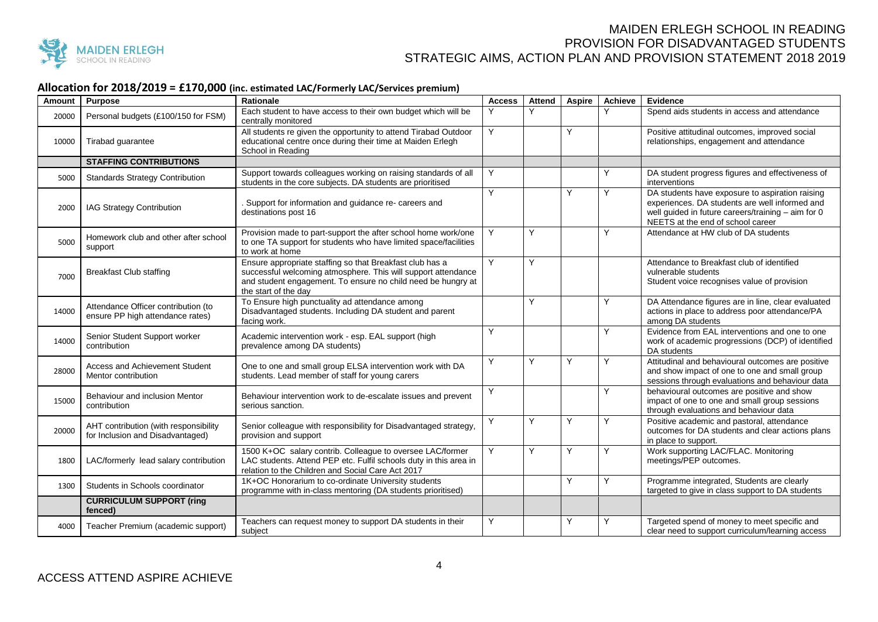

## **Allocation for 2018/2019 = £170,000 (inc. estimated LAC/Formerly LAC/Services premium)**

| Amount | <b>Purpose</b>                                                            | <b>Rationale</b>                                                                                                                                                                                                  | <b>Access</b> | Attend | Aspire | <b>Achieve</b> | Evidence                                                                                                                                                                                     |
|--------|---------------------------------------------------------------------------|-------------------------------------------------------------------------------------------------------------------------------------------------------------------------------------------------------------------|---------------|--------|--------|----------------|----------------------------------------------------------------------------------------------------------------------------------------------------------------------------------------------|
| 20000  | Personal budgets (£100/150 for FSM)                                       | Each student to have access to their own budget which will be<br>centrally monitored                                                                                                                              | Υ             | v      |        | Y              | Spend aids students in access and attendance                                                                                                                                                 |
| 10000  | Tirabad guarantee                                                         | All students re given the opportunity to attend Tirabad Outdoor<br>educational centre once during their time at Maiden Erlegh<br>School in Reading                                                                | Y             |        | Y      |                | Positive attitudinal outcomes, improved social<br>relationships, engagement and attendance                                                                                                   |
|        | <b>STAFFING CONTRIBUTIONS</b>                                             |                                                                                                                                                                                                                   |               |        |        |                |                                                                                                                                                                                              |
| 5000   | <b>Standards Strategy Contribution</b>                                    | Support towards colleagues working on raising standards of all<br>students in the core subjects. DA students are prioritised                                                                                      | Y             |        |        | Υ              | DA student progress figures and effectiveness of<br>interventions                                                                                                                            |
| 2000   | IAG Strategy Contribution                                                 | . Support for information and guidance re- careers and<br>destinations post 16                                                                                                                                    | Y             |        | Υ      | Y              | DA students have exposure to aspiration raising<br>experiences. DA students are well informed and<br>well guided in future careers/training - aim for 0<br>NEETS at the end of school career |
| 5000   | Homework club and other after school<br>support                           | Provision made to part-support the after school home work/one<br>to one TA support for students who have limited space/facilities<br>to work at home                                                              | Y             | Y      |        | Y              | Attendance at HW club of DA students                                                                                                                                                         |
| 7000   | <b>Breakfast Club staffing</b>                                            | Ensure appropriate staffing so that Breakfast club has a<br>successful welcoming atmosphere. This will support attendance<br>and student engagement. To ensure no child need be hungry at<br>the start of the day | Y             | Y      |        |                | Attendance to Breakfast club of identified<br>vulnerable students<br>Student voice recognises value of provision                                                                             |
| 14000  | Attendance Officer contribution (to<br>ensure PP high attendance rates)   | To Ensure high punctuality ad attendance among<br>Disadvantaged students. Including DA student and parent<br>facing work.                                                                                         |               | Υ      |        | Y              | DA Attendance figures are in line, clear evaluated<br>actions in place to address poor attendance/PA<br>among DA students                                                                    |
| 14000  | Senior Student Support worker<br>contribution                             | Academic intervention work - esp. EAL support (high<br>prevalence among DA students)                                                                                                                              | Y             |        |        | Y              | Evidence from EAL interventions and one to one<br>work of academic progressions (DCP) of identified<br>DA students                                                                           |
| 28000  | <b>Access and Achievement Student</b><br>Mentor contribution              | One to one and small group ELSA intervention work with DA<br>students. Lead member of staff for young carers                                                                                                      | Y             | Y      | Y      | Y              | Attitudinal and behavioural outcomes are positive<br>and show impact of one to one and small group<br>sessions through evaluations and behaviour data                                        |
| 15000  | Behaviour and inclusion Mentor<br>contribution                            | Behaviour intervention work to de-escalate issues and prevent<br>serious sanction.                                                                                                                                | Y             |        |        | Y              | behavioural outcomes are positive and show<br>impact of one to one and small group sessions<br>through evaluations and behaviour data                                                        |
| 20000  | AHT contribution (with responsibility<br>for Inclusion and Disadvantaged) | Senior colleague with responsibility for Disadvantaged strategy,<br>provision and support                                                                                                                         | Y             | Υ      | Y      | Y              | Positive academic and pastoral, attendance<br>outcomes for DA students and clear actions plans<br>in place to support.                                                                       |
| 1800   | LAC/formerly lead salary contribution                                     | 1500 K+OC salary contrib. Colleague to oversee LAC/former<br>LAC students. Attend PEP etc. Fulfil schools duty in this area in<br>relation to the Children and Social Care Act 2017                               | Y             | Y      | Y      | Y              | Work supporting LAC/FLAC. Monitoring<br>meetings/PEP outcomes.                                                                                                                               |
| 1300   | Students in Schools coordinator                                           | 1K+OC Honorarium to co-ordinate University students<br>programme with in-class mentoring (DA students prioritised)                                                                                                |               |        | Y      | Y              | Programme integrated, Students are clearly<br>targeted to give in class support to DA students                                                                                               |
|        | <b>CURRICULUM SUPPORT (ring</b><br>fenced)                                |                                                                                                                                                                                                                   |               |        |        |                |                                                                                                                                                                                              |
| 4000   | Teacher Premium (academic support)                                        | Teachers can request money to support DA students in their<br>subject                                                                                                                                             | Y             |        | Υ      | Υ              | Targeted spend of money to meet specific and<br>clear need to support curriculum/learning access                                                                                             |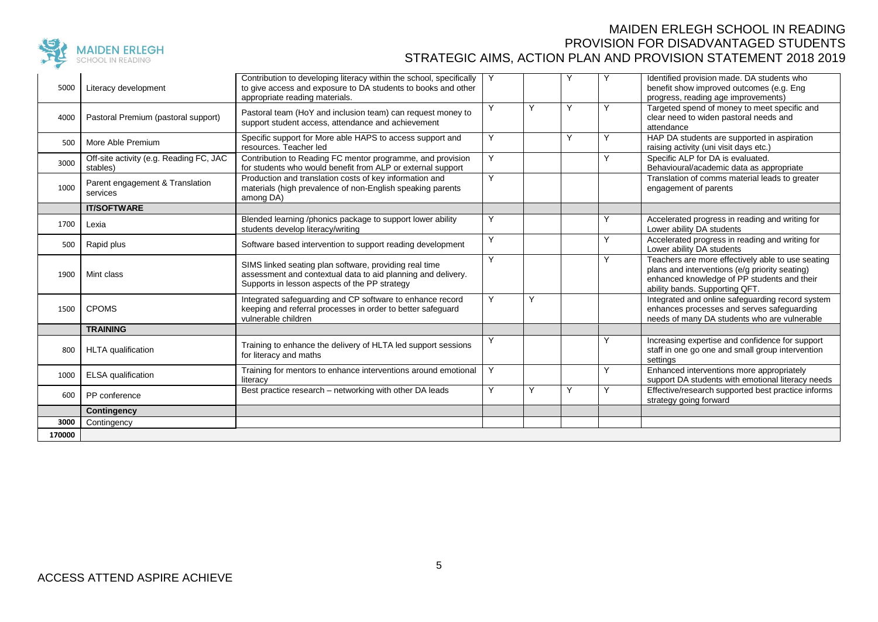

| 5000   | Literacy development                                | Contribution to developing literacy within the school, specifically<br>to give access and exposure to DA students to books and other<br>appropriate reading materials.  |   |   |   |   | Identified provision made. DA students who<br>benefit show improved outcomes (e.g. Eng<br>progress, reading age improvements)                                                        |
|--------|-----------------------------------------------------|-------------------------------------------------------------------------------------------------------------------------------------------------------------------------|---|---|---|---|--------------------------------------------------------------------------------------------------------------------------------------------------------------------------------------|
| 4000   | Pastoral Premium (pastoral support)                 | Pastoral team (HoY and inclusion team) can request money to<br>support student access, attendance and achievement                                                       | Y | Y | Y | Y | Targeted spend of money to meet specific and<br>clear need to widen pastoral needs and<br>attendance                                                                                 |
| 500    | More Able Premium                                   | Specific support for More able HAPS to access support and<br>resources. Teacher led                                                                                     | Y |   | Υ | Y | HAP DA students are supported in aspiration<br>raising activity (uni visit days etc.)                                                                                                |
| 3000   | Off-site activity (e.g. Reading FC, JAC<br>stables) | Contribution to Reading FC mentor programme, and provision<br>for students who would benefit from ALP or external support                                               | Y |   |   | Y | Specific ALP for DA is evaluated.<br>Behavioural/academic data as appropriate                                                                                                        |
| 1000   | Parent engagement & Translation<br>services         | Production and translation costs of key information and<br>materials (high prevalence of non-English speaking parents<br>among DA)                                      | Y |   |   |   | Translation of comms material leads to greater<br>engagement of parents                                                                                                              |
|        | <b>IT/SOFTWARE</b>                                  |                                                                                                                                                                         |   |   |   |   |                                                                                                                                                                                      |
| 1700   | Lexia                                               | Blended learning /phonics package to support lower ability<br>students develop literacy/writing                                                                         | Y |   |   | Y | Accelerated progress in reading and writing for<br>Lower ability DA students                                                                                                         |
| 500    | Rapid plus                                          | Software based intervention to support reading development                                                                                                              | Υ |   |   | Y | Accelerated progress in reading and writing for<br>Lower ability DA students                                                                                                         |
| 1900   | Mint class                                          | SIMS linked seating plan software, providing real time<br>assessment and contextual data to aid planning and delivery.<br>Supports in lesson aspects of the PP strategy | Υ |   |   | Y | Teachers are more effectively able to use seating<br>plans and interventions (e/g priority seating)<br>enhanced knowledge of PP students and their<br>ability bands. Supporting QFT. |
| 1500   | <b>CPOMS</b>                                        | Integrated safeguarding and CP software to enhance record<br>keeping and referral processes in order to better safeguard<br>vulnerable children                         | Y | Ý |   |   | Integrated and online safeguarding record system<br>enhances processes and serves safeguarding<br>needs of many DA students who are vulnerable                                       |
|        | <b>TRAINING</b>                                     |                                                                                                                                                                         |   |   |   |   |                                                                                                                                                                                      |
| 800    | <b>HLTA</b> qualification                           | Training to enhance the delivery of HLTA led support sessions<br>for literacy and maths                                                                                 | Υ |   |   | Υ | Increasing expertise and confidence for support<br>staff in one go one and small group intervention<br>settings                                                                      |
| 1000   | <b>ELSA</b> qualification                           | Training for mentors to enhance interventions around emotional<br>literacy                                                                                              | Y |   |   | Y | Enhanced interventions more appropriately<br>support DA students with emotional literacy needs                                                                                       |
| 600    | PP conference                                       | Best practice research - networking with other DA leads                                                                                                                 | Υ | v | v | Y | Effective/research supported best practice informs<br>strategy going forward                                                                                                         |
|        | Contingency                                         |                                                                                                                                                                         |   |   |   |   |                                                                                                                                                                                      |
| 3000   | Contingency                                         |                                                                                                                                                                         |   |   |   |   |                                                                                                                                                                                      |
| 170000 |                                                     |                                                                                                                                                                         |   |   |   |   |                                                                                                                                                                                      |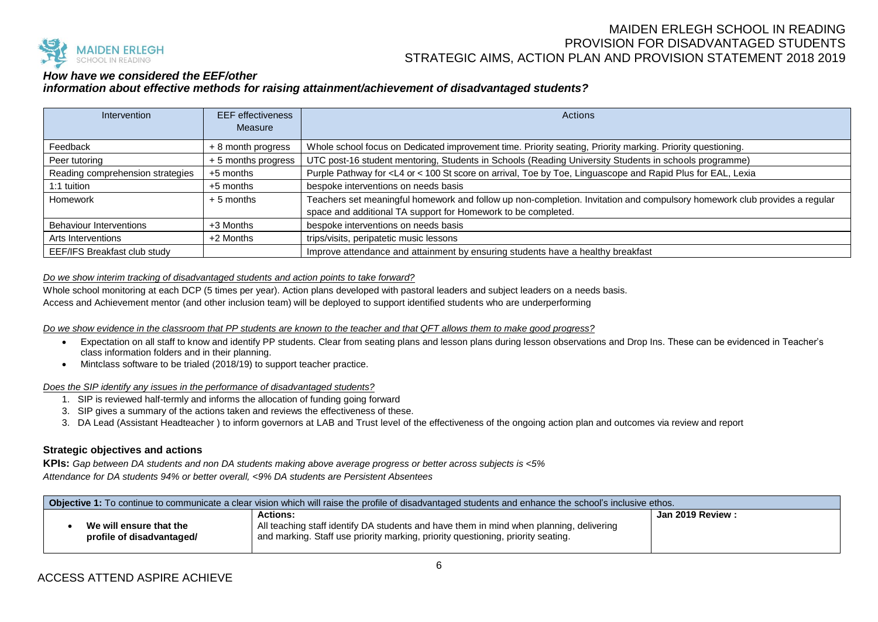

## *How have we considered the EEF/other*

*information about effective methods for raising attainment/achievement of disadvantaged students?*

| <b>EEF</b> effectiveness<br>Intervention |                     | Actions                                                                                                                                                                    |  |  |  |  |  |
|------------------------------------------|---------------------|----------------------------------------------------------------------------------------------------------------------------------------------------------------------------|--|--|--|--|--|
|                                          | Measure             |                                                                                                                                                                            |  |  |  |  |  |
| Feedback                                 | + 8 month progress  | Whole school focus on Dedicated improvement time. Priority seating, Priority marking. Priority questioning.                                                                |  |  |  |  |  |
| Peer tutoring                            | + 5 months progress | UTC post-16 student mentoring, Students in Schools (Reading University Students in schools programme)                                                                      |  |  |  |  |  |
| Reading comprehension strategies         | +5 months           | Purple Pathway for <l4 100="" <="" and="" arrival,="" by="" eal,="" for="" lexia<="" linguascope="" on="" or="" plus="" rapid="" score="" st="" td="" toe="" toe,=""></l4> |  |  |  |  |  |
| 1:1 tuition                              | $+5$ months         | bespoke interventions on needs basis                                                                                                                                       |  |  |  |  |  |
| <b>Homework</b>                          | $+5$ months         | Teachers set meaningful homework and follow up non-completion. Invitation and compulsory homework club provides a regular                                                  |  |  |  |  |  |
|                                          |                     | space and additional TA support for Homework to be completed.                                                                                                              |  |  |  |  |  |
| <b>Behaviour Interventions</b>           | +3 Months           | bespoke interventions on needs basis                                                                                                                                       |  |  |  |  |  |
| Arts Interventions                       | +2 Months           | trips/visits, peripatetic music lessons                                                                                                                                    |  |  |  |  |  |
| EEF/IFS Breakfast club study             |                     | Improve attendance and attainment by ensuring students have a healthy breakfast                                                                                            |  |  |  |  |  |

#### *Do we show interim tracking of disadvantaged students and action points to take forward?*

Whole school monitoring at each DCP (5 times per year). Action plans developed with pastoral leaders and subject leaders on a needs basis.

Access and Achievement mentor (and other inclusion team) will be deployed to support identified students who are underperforming

Do we show evidence in the classroom that PP students are known to the teacher and that QFT allows them to make good progress?

- Expectation on all staff to know and identify PP students. Clear from seating plans and lesson plans during lesson observations and Drop Ins. These can be evidenced in Teacher's class information folders and in their planning.
- Mintclass software to be trialed (2018/19) to support teacher practice.

*Does the SIP identify any issues in the performance of disadvantaged students?*

- 1. SIP is reviewed half-termly and informs the allocation of funding going forward
- 3. SIP gives a summary of the actions taken and reviews the effectiveness of these.
- 3. DA Lead (Assistant Headteacher ) to inform governors at LAB and Trust level of the effectiveness of the ongoing action plan and outcomes via review and report

#### **Strategic objectives and actions**

**KPIs:** *Gap between DA students and non DA students making above average progress or better across subjects is <5% Attendance for DA students 94% or better overall, <9% DA students are Persistent Absentees*

| <b>Objective 1:</b> To continue to communicate a clear vision which will raise the profile of disadvantaged students and enhance the school's inclusive ethos. |                                                                                                                                                                                                |                   |  |  |  |  |
|----------------------------------------------------------------------------------------------------------------------------------------------------------------|------------------------------------------------------------------------------------------------------------------------------------------------------------------------------------------------|-------------------|--|--|--|--|
| We will ensure that the<br>profile of disadvantaged/                                                                                                           | <b>Actions:</b><br>All teaching staff identify DA students and have them in mind when planning, delivering<br>and marking. Staff use priority marking, priority questioning, priority seating. | Jan 2019 Review : |  |  |  |  |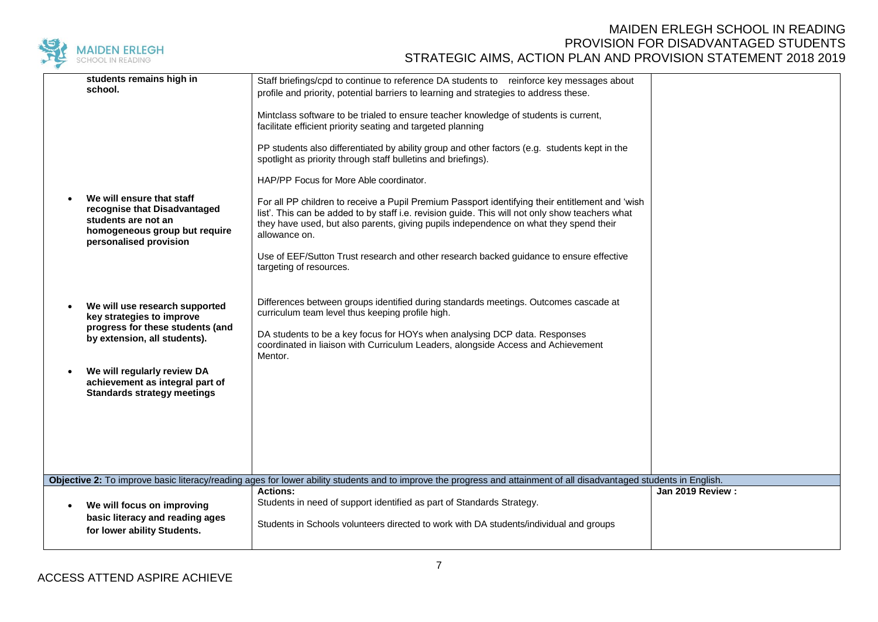

| students remains high in<br>school.                                                                                                         | Staff briefings/cpd to continue to reference DA students to reinforce key messages about<br>profile and priority, potential barriers to learning and strategies to address these.                                                                                                                                    |                  |
|---------------------------------------------------------------------------------------------------------------------------------------------|----------------------------------------------------------------------------------------------------------------------------------------------------------------------------------------------------------------------------------------------------------------------------------------------------------------------|------------------|
|                                                                                                                                             | Mintclass software to be trialed to ensure teacher knowledge of students is current,<br>facilitate efficient priority seating and targeted planning                                                                                                                                                                  |                  |
|                                                                                                                                             | PP students also differentiated by ability group and other factors (e.g. students kept in the<br>spotlight as priority through staff bulletins and briefings).                                                                                                                                                       |                  |
|                                                                                                                                             | HAP/PP Focus for More Able coordinator.                                                                                                                                                                                                                                                                              |                  |
| We will ensure that staff<br>recognise that Disadvantaged<br>students are not an<br>homogeneous group but require<br>personalised provision | For all PP children to receive a Pupil Premium Passport identifying their entitlement and 'wish<br>list'. This can be added to by staff i.e. revision guide. This will not only show teachers what<br>they have used, but also parents, giving pupils independence on what they spend their<br>allowance on.         |                  |
|                                                                                                                                             | Use of EEF/Sutton Trust research and other research backed guidance to ensure effective<br>targeting of resources.                                                                                                                                                                                                   |                  |
| We will use research supported<br>key strategies to improve<br>progress for these students (and<br>by extension, all students).             | Differences between groups identified during standards meetings. Outcomes cascade at<br>curriculum team level thus keeping profile high.<br>DA students to be a key focus for HOYs when analysing DCP data. Responses<br>coordinated in liaison with Curriculum Leaders, alongside Access and Achievement<br>Mentor. |                  |
| We will regularly review DA<br>achievement as integral part of<br><b>Standards strategy meetings</b>                                        |                                                                                                                                                                                                                                                                                                                      |                  |
|                                                                                                                                             |                                                                                                                                                                                                                                                                                                                      |                  |
|                                                                                                                                             |                                                                                                                                                                                                                                                                                                                      |                  |
|                                                                                                                                             | Objective 2: To improve basic literacy/reading ages for lower ability students and to improve the progress and attainment of all disadvantaged students in English.                                                                                                                                                  |                  |
|                                                                                                                                             | <b>Actions:</b>                                                                                                                                                                                                                                                                                                      | Jan 2019 Review: |
| We will focus on improving                                                                                                                  | Students in need of support identified as part of Standards Strategy.                                                                                                                                                                                                                                                |                  |
| basic literacy and reading ages<br>for lower ability Students.                                                                              | Students in Schools volunteers directed to work with DA students/individual and groups                                                                                                                                                                                                                               |                  |
|                                                                                                                                             |                                                                                                                                                                                                                                                                                                                      |                  |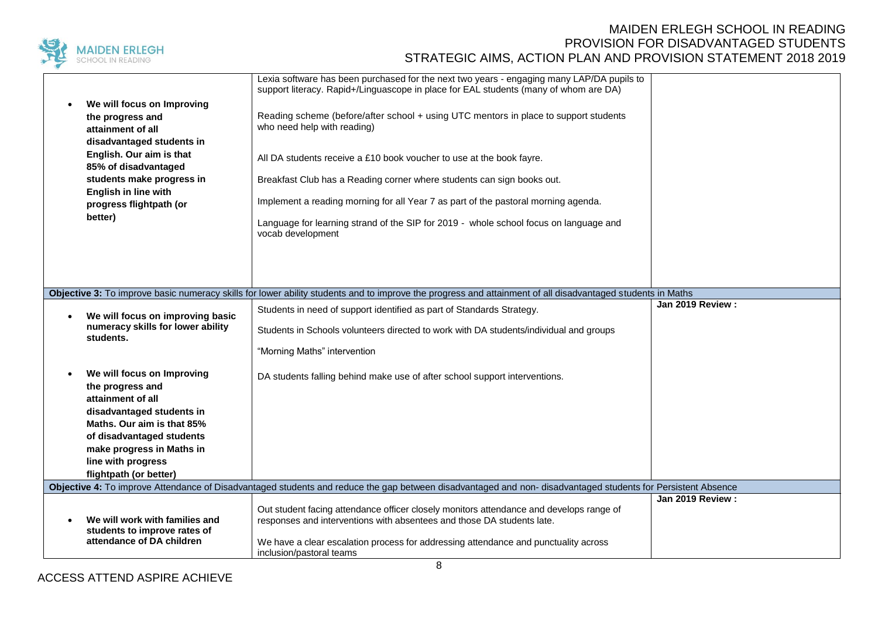

| We will focus on Improving<br>the progress and<br>attainment of all<br>disadvantaged students in<br>English. Our aim is that<br>85% of disadvantaged<br>students make progress in<br><b>English in line with</b><br>progress flightpath (or<br>better) | Lexia software has been purchased for the next two years - engaging many LAP/DA pupils to<br>support literacy. Rapid+/Linguascope in place for EAL students (many of whom are DA)<br>Reading scheme (before/after school + using UTC mentors in place to support students<br>who need help with reading)<br>All DA students receive a £10 book voucher to use at the book fayre.<br>Breakfast Club has a Reading corner where students can sign books out.<br>Implement a reading morning for all Year 7 as part of the pastoral morning agenda.<br>Language for learning strand of the SIP for 2019 - whole school focus on language and<br>vocab development |                         |
|--------------------------------------------------------------------------------------------------------------------------------------------------------------------------------------------------------------------------------------------------------|----------------------------------------------------------------------------------------------------------------------------------------------------------------------------------------------------------------------------------------------------------------------------------------------------------------------------------------------------------------------------------------------------------------------------------------------------------------------------------------------------------------------------------------------------------------------------------------------------------------------------------------------------------------|-------------------------|
|                                                                                                                                                                                                                                                        | Objective 3: To improve basic numeracy skills for lower ability students and to improve the progress and attainment of all disadvantaged students in Maths                                                                                                                                                                                                                                                                                                                                                                                                                                                                                                     |                         |
|                                                                                                                                                                                                                                                        |                                                                                                                                                                                                                                                                                                                                                                                                                                                                                                                                                                                                                                                                | Jan 2019 Review:        |
| We will focus on improving basic<br>numeracy skills for lower ability<br>students.                                                                                                                                                                     | Students in need of support identified as part of Standards Strategy.<br>Students in Schools volunteers directed to work with DA students/individual and groups<br>"Morning Maths" intervention                                                                                                                                                                                                                                                                                                                                                                                                                                                                |                         |
| We will focus on Improving<br>the progress and<br>attainment of all<br>disadvantaged students in<br>Maths. Our aim is that 85%<br>of disadvantaged students<br>make progress in Maths in<br>line with progress<br>flightpath (or better)               | DA students falling behind make use of after school support interventions.                                                                                                                                                                                                                                                                                                                                                                                                                                                                                                                                                                                     |                         |
|                                                                                                                                                                                                                                                        | Objective 4: To improve Attendance of Disadvantaged students and reduce the gap between disadvantaged and non-disadvantaged students for Persistent Absence                                                                                                                                                                                                                                                                                                                                                                                                                                                                                                    |                         |
| We will work with families and<br>students to improve rates of<br>attendance of DA children                                                                                                                                                            | Out student facing attendance officer closely monitors attendance and develops range of<br>responses and interventions with absentees and those DA students late.<br>We have a clear escalation process for addressing attendance and punctuality across<br>inclusion/pastoral teams                                                                                                                                                                                                                                                                                                                                                                           | <b>Jan 2019 Review:</b> |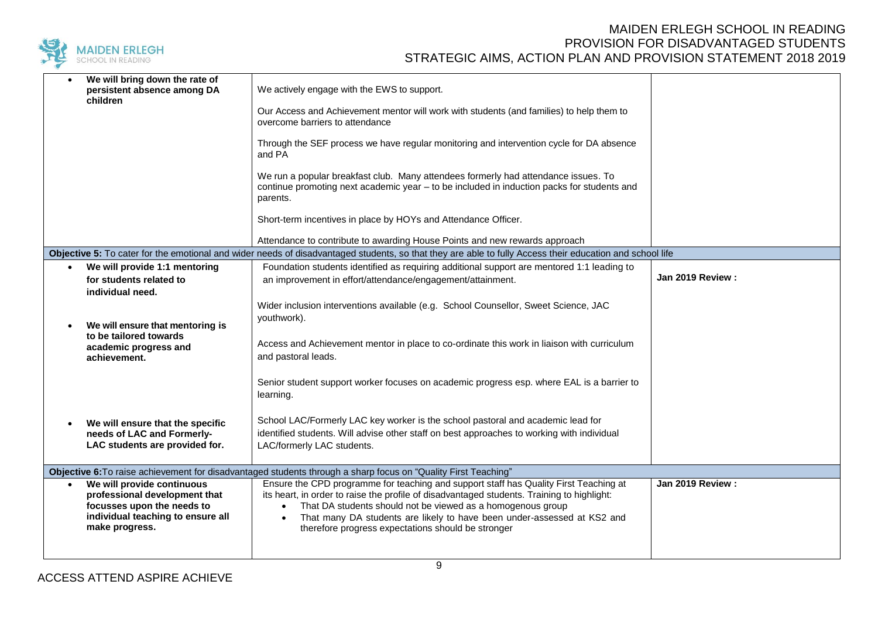

|           | We will bring down the rate of<br>persistent absence among DA<br>children                                                                        | We actively engage with the EWS to support.                                                                                                                                                                                                                                                                                                                                         |                         |
|-----------|--------------------------------------------------------------------------------------------------------------------------------------------------|-------------------------------------------------------------------------------------------------------------------------------------------------------------------------------------------------------------------------------------------------------------------------------------------------------------------------------------------------------------------------------------|-------------------------|
|           |                                                                                                                                                  | Our Access and Achievement mentor will work with students (and families) to help them to<br>overcome barriers to attendance                                                                                                                                                                                                                                                         |                         |
|           |                                                                                                                                                  | Through the SEF process we have regular monitoring and intervention cycle for DA absence<br>and PA                                                                                                                                                                                                                                                                                  |                         |
|           |                                                                                                                                                  | We run a popular breakfast club. Many attendees formerly had attendance issues. To<br>continue promoting next academic year $-$ to be included in induction packs for students and<br>parents.                                                                                                                                                                                      |                         |
|           |                                                                                                                                                  | Short-term incentives in place by HOYs and Attendance Officer.                                                                                                                                                                                                                                                                                                                      |                         |
|           |                                                                                                                                                  | Attendance to contribute to awarding House Points and new rewards approach                                                                                                                                                                                                                                                                                                          |                         |
|           |                                                                                                                                                  | Objective 5: To cater for the emotional and wider needs of disadvantaged students, so that they are able to fully Access their education and school life                                                                                                                                                                                                                            |                         |
| $\bullet$ | We will provide 1:1 mentoring                                                                                                                    | Foundation students identified as requiring additional support are mentored 1:1 leading to                                                                                                                                                                                                                                                                                          |                         |
|           | for students related to                                                                                                                          | an improvement in effort/attendance/engagement/attainment.                                                                                                                                                                                                                                                                                                                          | <b>Jan 2019 Review:</b> |
|           | individual need.                                                                                                                                 |                                                                                                                                                                                                                                                                                                                                                                                     |                         |
|           | We will ensure that mentoring is<br>to be tailored towards<br>academic progress and<br>achievement.                                              | Wider inclusion interventions available (e.g. School Counsellor, Sweet Science, JAC<br>youthwork).                                                                                                                                                                                                                                                                                  |                         |
|           |                                                                                                                                                  | Access and Achievement mentor in place to co-ordinate this work in liaison with curriculum<br>and pastoral leads.                                                                                                                                                                                                                                                                   |                         |
|           |                                                                                                                                                  | Senior student support worker focuses on academic progress esp. where EAL is a barrier to<br>learning.                                                                                                                                                                                                                                                                              |                         |
|           | We will ensure that the specific<br>needs of LAC and Formerly-<br>LAC students are provided for.                                                 | School LAC/Formerly LAC key worker is the school pastoral and academic lead for<br>identified students. Will advise other staff on best approaches to working with individual<br>LAC/formerly LAC students.                                                                                                                                                                         |                         |
|           |                                                                                                                                                  | Objective 6: To raise achievement for disadvantaged students through a sharp focus on "Quality First Teaching"                                                                                                                                                                                                                                                                      |                         |
|           | We will provide continuous<br>professional development that<br>focusses upon the needs to<br>individual teaching to ensure all<br>make progress. | Ensure the CPD programme for teaching and support staff has Quality First Teaching at<br>its heart, in order to raise the profile of disadvantaged students. Training to highlight:<br>That DA students should not be viewed as a homogenous group<br>That many DA students are likely to have been under-assessed at KS2 and<br>therefore progress expectations should be stronger | Jan 2019 Review :       |
|           |                                                                                                                                                  |                                                                                                                                                                                                                                                                                                                                                                                     |                         |